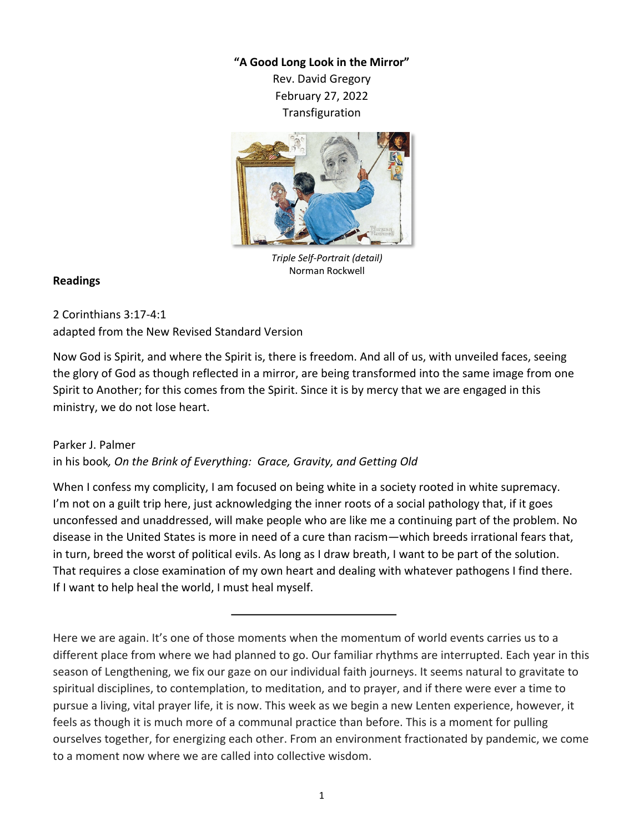## **"A Good Long Look in the Mirror"**

Rev. David Gregory February 27, 2022 Transfiguration



*Triple Self-Portrait (detail)* Norman Rockwell

## **Readings**

2 Corinthians 3:17-4:1 adapted from the New Revised Standard Version

Now God is Spirit, and where the Spirit is, there is freedom. And all of us, with unveiled faces, seeing the glory of God as though reflected in a mirror, are being transformed into the same image from one Spirit to Another; for this comes from the Spirit. Since it is by mercy that we are engaged in this ministry, we do not lose heart.

## Parker J. Palmer

in his book*, On the Brink of Everything: Grace, Gravity, and Getting Old*

When I confess my complicity, I am focused on being white in a society rooted in white supremacy. I'm not on a guilt trip here, just acknowledging the inner roots of a social pathology that, if it goes unconfessed and unaddressed, will make people who are like me a continuing part of the problem. No disease in the United States is more in need of a cure than racism—which breeds irrational fears that, in turn, breed the worst of political evils. As long as I draw breath, I want to be part of the solution. That requires a close examination of my own heart and dealing with whatever pathogens I find there. If I want to help heal the world, I must heal myself.

Here we are again. It's one of those moments when the momentum of world events carries us to a different place from where we had planned to go. Our familiar rhythms are interrupted. Each year in this season of Lengthening, we fix our gaze on our individual faith journeys. It seems natural to gravitate to spiritual disciplines, to contemplation, to meditation, and to prayer, and if there were ever a time to pursue a living, vital prayer life, it is now. This week as we begin a new Lenten experience, however, it feels as though it is much more of a communal practice than before. This is a moment for pulling ourselves together, for energizing each other. From an environment fractionated by pandemic, we come to a moment now where we are called into collective wisdom.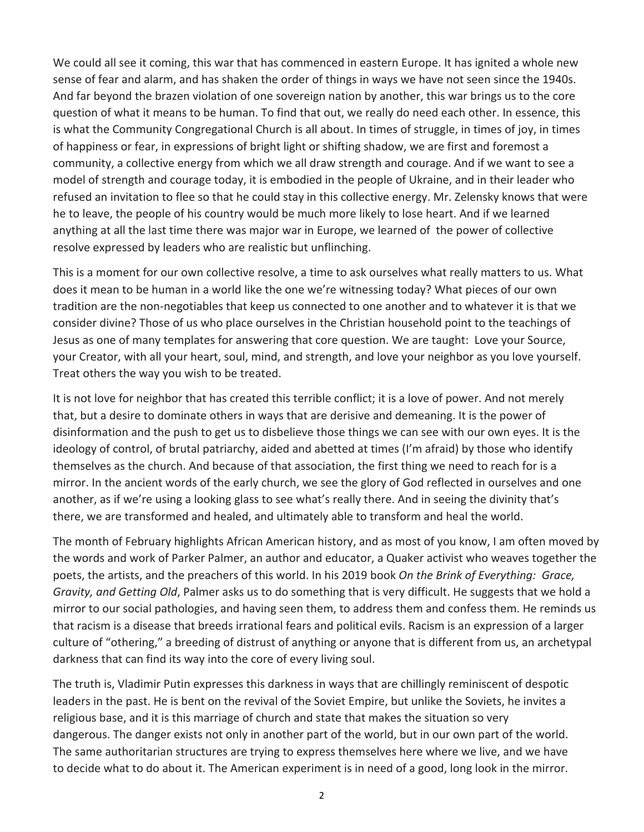We could all see it coming, this war that has commenced in eastern Europe. It has ignited a whole new sense of fear and alarm, and has shaken the order of things in ways we have not seen since the 1940s. And far beyond the brazen violation of one sovereign nation by another, this war brings us to the core question of what it means to be human. To find that out, we really do need each other. In essence, this is what the Community Congregational Church is all about. In times of struggle, in times of joy, in times of happiness or fear, in expressions of bright light or shifting shadow, we are first and foremost a community, a collective energy from which we all draw strength and courage. And if we want to see a model of strength and courage today, it is embodied in the people of Ukraine, and in their leader who refused an invitation to flee so that he could stay in this collective energy. Mr. Zelensky knows that were he to leave, the people of his country would be much more likely to lose heart. And if we learned anything at all the last time there was major war in Europe, we learned of the power of collective resolve expressed by leaders who are realistic but unflinching.

This is a moment for our own collective resolve, a time to ask ourselves what really matters to us. What does it mean to be human in a world like the one we're witnessing today? What pieces of our own tradition are the non-negotiables that keep us connected to one another and to whatever it is that we consider divine? Those of us who place ourselves in the Christian household point to the teachings of Jesus as one of many templates for answering that core question. We are taught: Love your Source, your Creator, with all your heart, soul, mind, and strength, and love your neighbor as you love yourself. Treat others the way you wish to be treated.

It is not love for neighbor that has created this terrible conflict; it is a love of power. And not merely that, but a desire to dominate others in ways that are derisive and demeaning. It is the power of disinformation and the push to get us to disbelieve those things we can see with our own eyes. It is the ideology of control, of brutal patriarchy, aided and abetted at times (I'm afraid) by those who identify themselves as the church. And because of that association, the first thing we need to reach for is a mirror. In the ancient words of the early church, we see the glory of God reflected in ourselves and one another, as if we're using a looking glass to see what's really there. And in seeing the divinity that's there, we are transformed and healed, and ultimately able to transform and heal the world.

The month of February highlights African American history, and as most of you know, I am often moved by the words and work of Parker Palmer, an author and educator, a Quaker activist who weaves together the poets, the artists, and the preachers of this world. In his 2019 book *On the Brink of Everything: Grace, Gravity, and Getting Old*, Palmer asks us to do something that is very difficult. He suggests that we hold a mirror to our social pathologies, and having seen them, to address them and confess them. He reminds us that racism is a disease that breeds irrational fears and political evils. Racism is an expression of a larger culture of "othering," a breeding of distrust of anything or anyone that is different from us, an archetypal darkness that can find its way into the core of every living soul.

The truth is, Vladimir Putin expresses this darkness in ways that are chillingly reminiscent of despotic leaders in the past. He is bent on the revival of the Soviet Empire, but unlike the Soviets, he invites a religious base, and it is this marriage of church and state that makes the situation so very dangerous. The danger exists not only in another part of the world, but in our own part of the world. The same authoritarian structures are trying to express themselves here where we live, and we have to decide what to do about it. The American experiment is in need of a good, long look in the mirror.